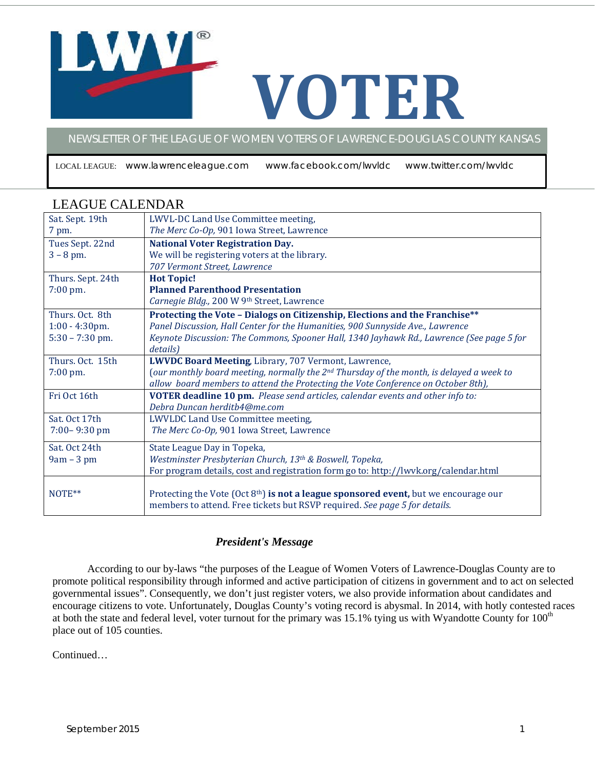# **VOTER**

NEWSLETTER OF THE LEAGUE OF WOMEN VOTERS OF LAWRENCE-DOUGLAS COUNTY KANSAS

LOCAL LEAGUE: www.lawrenceleague.com www.facebook.com/lwvldc www.twitter.com/lwvldc

| Sat. Sept. 19th   | LWVL-DC Land Use Committee meeting,                                                           |
|-------------------|-----------------------------------------------------------------------------------------------|
| 7 pm.             | The Merc Co-Op, 901 Iowa Street, Lawrence                                                     |
| Tues Sept. 22nd   | <b>National Voter Registration Day.</b>                                                       |
| $3 - 8$ pm.       | We will be registering voters at the library.                                                 |
|                   | 707 Vermont Street, Lawrence                                                                  |
| Thurs. Sept. 24th | <b>Hot Topic!</b>                                                                             |
| 7:00 pm.          | <b>Planned Parenthood Presentation</b>                                                        |
|                   | Carnegie Bldg., 200 W 9th Street, Lawrence                                                    |
| Thurs, Oct. 8th   | Protecting the Vote - Dialogs on Citizenship, Elections and the Franchise**                   |
| $1:00 - 4:30$ pm. | Panel Discussion, Hall Center for the Humanities, 900 Sunnyside Ave., Lawrence                |
| $5:30 - 7:30$ pm. | Keynote Discussion: The Commons, Spooner Hall, 1340 Jayhawk Rd., Lawrence (See page 5 for     |
|                   | details)                                                                                      |
| Thurs. Oct. 15th  | LWVDC Board Meeting, Library, 707 Vermont, Lawrence,                                          |
| 7:00 pm.          | (our monthly board meeting, normally the $2^{nd}$ Thursday of the month, is delayed a week to |
|                   | allow board members to attend the Protecting the Vote Conference on October 8th),             |
| Fri Oct 16th      | VOTER deadline 10 pm. Please send articles, calendar events and other info to:                |
|                   | Debra Duncan herditb4@me.com                                                                  |
| Sat. Oct 17th     | LWVLDC Land Use Committee meeting,                                                            |
| $7:00 - 9:30$ pm  | The Merc Co-Op, 901 Iowa Street, Lawrence                                                     |
| Sat. Oct 24th     | State League Day in Topeka,                                                                   |
| $9am - 3pm$       | Westminster Presbyterian Church, 13th & Boswell, Topeka,                                      |
|                   | For program details, cost and registration form go to: http://lwvk.org/calendar.html          |
| NOTE**            | Protecting the Vote (Oct $8th$ ) is not a league sponsored event, but we encourage our        |
|                   | members to attend. Free tickets but RSVP required. See page 5 for details.                    |

# LEAGUE CALENDAR

## *President's Message*

According to our by-laws "the purposes of the League of Women Voters of Lawrence-Douglas County are to promote political responsibility through informed and active participation of citizens in government and to act on selected governmental issues". Consequently, we don't just register voters, we also provide information about candidates and encourage citizens to vote. Unfortunately, Douglas County's voting record is abysmal. In 2014, with hotly contested races at both the state and federal level, voter turnout for the primary was  $15.1\%$  tying us with Wyandotte County for  $100<sup>th</sup>$ place out of 105 counties.

Continued…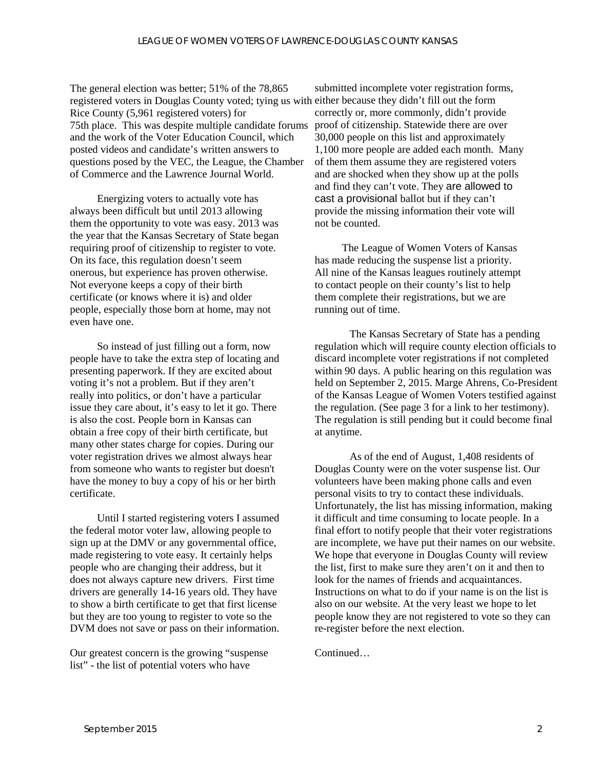The general election was better; 51% of the 78,865 registered voters in Douglas County voted; tying us with either because they didn't fill out the form Rice County (5,961 registered voters) for 75th place. This was despite multiple candidate forums and the work of the Voter Education Council, which posted videos and candidate's written answers to questions posed by the VEC, the League, the Chamber of Commerce and the Lawrence Journal World.

Energizing voters to actually vote has always been difficult but until 2013 allowing them the opportunity to vote was easy. 2013 was the year that the Kansas Secretary of State began requiring proof of citizenship to register to vote. On its face, this regulation doesn't seem onerous, but experience has proven otherwise. Not everyone keeps a copy of their birth certificate (or knows where it is) and older people, especially those born at home, may not even have one.

So instead of just filling out a form, now people have to take the extra step of locating and presenting paperwork. If they are excited about voting it's not a problem. But if they aren't really into politics, or don't have a particular issue they care about, it's easy to let it go. There is also the cost. People born in Kansas can obtain a free copy of their birth certificate, but many other states charge for copies. During our voter registration drives we almost always hear from someone who wants to register but doesn't have the money to buy a copy of his or her birth certificate.

Until I started registering voters I assumed the federal motor voter law, allowing people to sign up at the DMV or any governmental office, made registering to vote easy. It certainly helps people who are changing their address, but it does not always capture new drivers. First time drivers are generally 14-16 years old. They have to show a birth certificate to get that first license but they are too young to register to vote so the DVM does not save or pass on their information.

Our greatest concern is the growing "suspense list" - the list of potential voters who have

submitted incomplete voter registration forms, correctly or, more commonly, didn't provide proof of citizenship. Statewide there are over 30,000 people on this list and approximately 1,100 more people are added each month. Many of them them assume they are registered voters and are shocked when they show up at the polls and find they can't vote. They are allowed to cast a provisional ballot but if they can't provide the missing information their vote will not be counted.

The League of Women Voters of Kansas has made reducing the suspense list a priority. All nine of the Kansas leagues routinely attempt to contact people on their county's list to help them complete their registrations, but we are running out of time.

The Kansas Secretary of State has a pending regulation which will require county election officials to discard incomplete voter registrations if not completed within 90 days. A public hearing on this regulation was held on September 2, 2015. Marge Ahrens, Co-President of the Kansas League of Women Voters testified against the regulation. (See page 3 for a link to her testimony). The regulation is still pending but it could become final at anytime.

As of the end of August, 1,408 residents of Douglas County were on the voter suspense list. Our volunteers have been making phone calls and even personal visits to try to contact these individuals. Unfortunately, the list has missing information, making it difficult and time consuming to locate people. In a final effort to notify people that their voter registrations are incomplete, we have put their names on our website. We hope that everyone in Douglas County will review the list, first to make sure they aren't on it and then to look for the names of friends and acquaintances. Instructions on what to do if your name is on the list is also on our website. At the very least we hope to let people know they are not registered to vote so they can re-register before the next election.

Continued…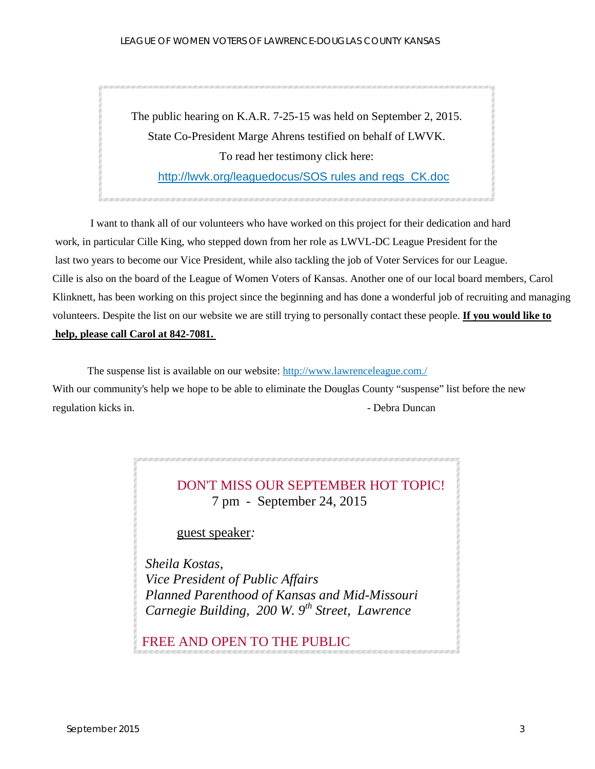The public hearing on K.A.R. 7-25-15 was held on September 2, 2015. State Co-President Marge Ahrens testified on behalf of LWVK. To read her testimony click here: [http://lwvk.org/leaguedocus/SOS rules and regs CK.doc](http://lwvk.org/leaguedocus/SOS%20rules%20and%20regs%20%20CK.doc)

I want to thank all of our volunteers who have worked on this project for their dedication and hard work, in particular Cille King, who stepped down from her role as LWVL-DC League President for the last two years to become our Vice President, while also tackling the job of Voter Services for our League. Cille is also on the board of the League of Women Voters of Kansas. Another one of our local board members, Carol Klinknett, has been working on this project since the beginning and has done a wonderful job of recruiting and managing volunteers. Despite the list on our website we are still trying to personally contact these people. **If you would like to help, please call Carol at 842-7081.**

The suspense list is available on our website: <http://www.lawrenceleague.com./> With our community's help we hope to be able to eliminate the Douglas County "suspense" list before the new regulation kicks in. The branch of the contract of the Duncan policy of the Duncan policy of the Duncan policy of the Duncan policy of the Duncan policy of the Duncan policy of the Duncan policy of the Duncan policy of the

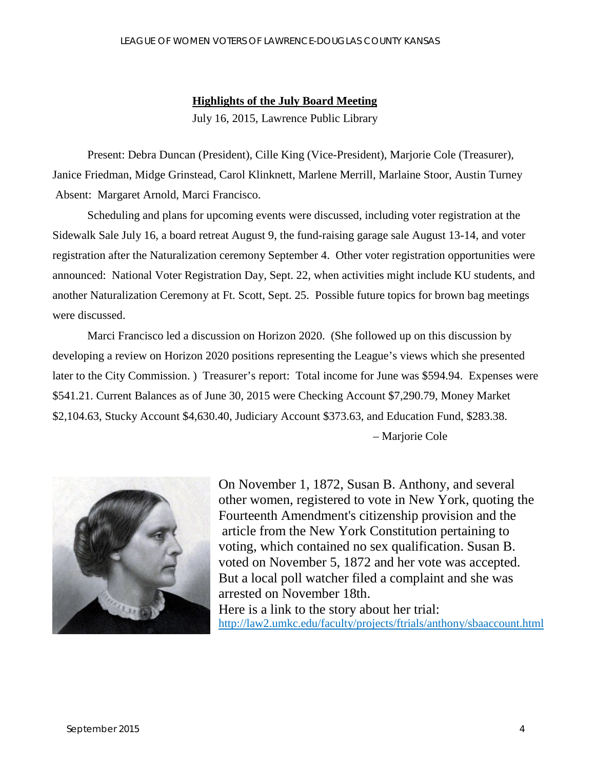#### **Highlights of the July Board Meeting**

July 16, 2015, Lawrence Public Library

Present: Debra Duncan (President), Cille King (Vice-President), Marjorie Cole (Treasurer), Janice Friedman, Midge Grinstead, Carol Klinknett, Marlene Merrill, Marlaine Stoor, Austin Turney Absent: Margaret Arnold, Marci Francisco.

Scheduling and plans for upcoming events were discussed, including voter registration at the Sidewalk Sale July 16, a board retreat August 9, the fund-raising garage sale August 13-14, and voter registration after the Naturalization ceremony September 4. Other voter registration opportunities were announced: National Voter Registration Day, Sept. 22, when activities might include KU students, and another Naturalization Ceremony at Ft. Scott, Sept. 25. Possible future topics for brown bag meetings were discussed.

Marci Francisco led a discussion on Horizon 2020. (She followed up on this discussion by developing a review on Horizon 2020 positions representing the League's views which she presented later to the City Commission. ) Treasurer's report: Total income for June was \$594.94. Expenses were \$541.21. Current Balances as of June 30, 2015 were Checking Account \$7,290.79, Money Market \$2,104.63, Stucky Account \$4,630.40, Judiciary Account \$373.63, and Education Fund, \$283.38.

– Marjorie Cole



On November 1, 1872, Susan B. Anthony, and several other women, registered to vote in New York, quoting the Fourteenth Amendment's citizenship provision and the article from the New York Constitution pertaining to voting, which contained no sex qualification. Susan B. voted on November 5, 1872 and her vote was accepted. But a local poll watcher filed a complaint and she was arrested on November 18th. Here is a link to the story about her trial:<br>http://law2.umkc.edu/faculty/projects/ftrials/anthony/sbaaccount.html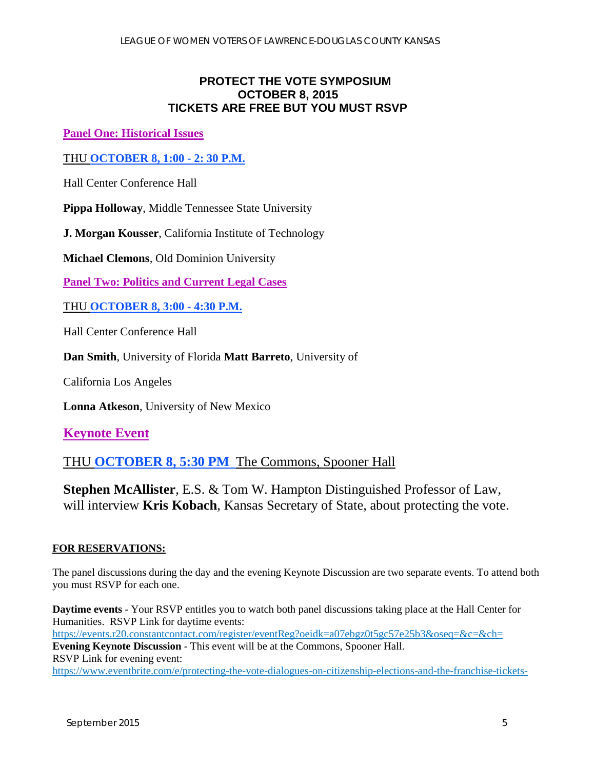## **PROTECT THE VOTE SYMPOSIUM OCTOBER 8, 2015 TICKETS ARE FREE BUT YOU MUST RSVP**

**Panel One: Historical Issues** 

THU **OCTOBER 8, 1:00 - 2: 30 P.M.** 

Hall Center Conference Hall

**Pippa Holloway**, Middle Tennessee State University

**J. Morgan Kousser**, California Institute of Technology

**Michael Clemons**, Old Dominion University

**Panel Two: Politics and Current Legal Cases**

THU **OCTOBER 8, 3:00 - 4:30 P.M.** 

Hall Center Conference Hall

**Dan Smith**, University of Florida **Matt Barreto**, University of

California Los Angeles

**Lonna Atkeson**, University of New Mexico

**Keynote Event**

THU **OCTOBER 8, 5:30 PM** The Commons, Spooner Hall

**Stephen McAllister**, E.S. & Tom W. Hampton Distinguished Professor of Law, will interview **Kris Kobach**, Kansas Secretary of State, about protecting the vote.

#### **FOR RESERVATIONS:**

The panel discussions during the day and the evening Keynote Discussion are two separate events. To attend both you must RSVP for each one.

**Daytime events** - Your RSVP entitles you to watch both panel discussions taking place at the Hall Center for Humanities. RSVP Link for daytime events: <https://events.r20.constantcontact.com/register/eventReg?oeidk=a07ebgz0t5gc57e25b3&oseq=&c=&ch=> **Evening Keynote Discussion** - This event will be at the Commons, Spooner Hall. RSVP Link for evening event: <https://www.eventbrite.com/e/protecting-the-vote-dialogues-on-citizenship-elections-and-the-franchise-tickets->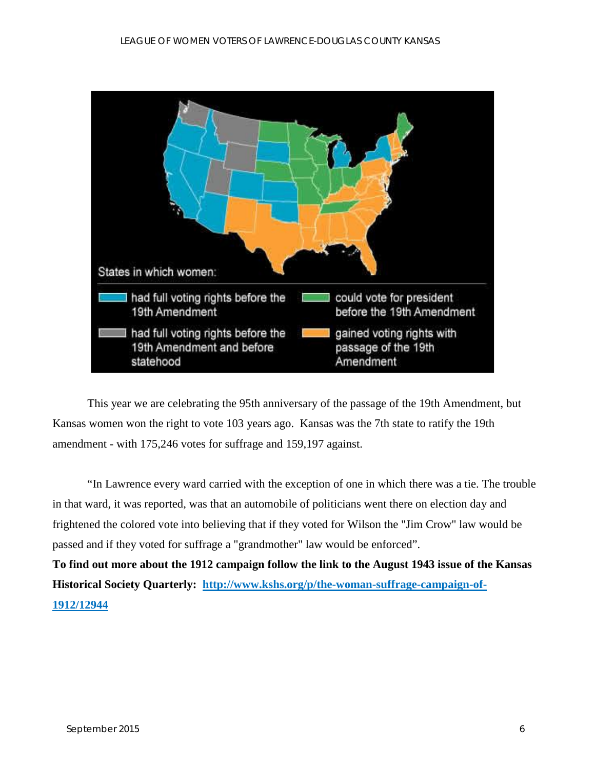

This year we are celebrating the 95th anniversary of the passage of the 19th Amendment, but Kansas women won the right to vote 103 years ago. Kansas was the 7th state to ratify the 19th amendment - with 175,246 votes for suffrage and 159,197 against.

"In Lawrence every ward carried with the exception of one in which there was a tie. The trouble in that ward, it was reported, was that an automobile of politicians went there on election day and frightened the colored vote into believing that if they voted for Wilson the "Jim Crow" law would be passed and if they voted for suffrage a "grandmother" law would be enforced".

**To find out more about the 1912 campaign follow the link to the August 1943 issue of the Kansas Historical Society Quarterly: [http://www.kshs.org/p/the-woman-suffrage-campaign-of-](http://www.kshs.org/p/the-woman-suffrage-campaign-of-1912/12944)[1912/12944](http://www.kshs.org/p/the-woman-suffrage-campaign-of-1912/12944)**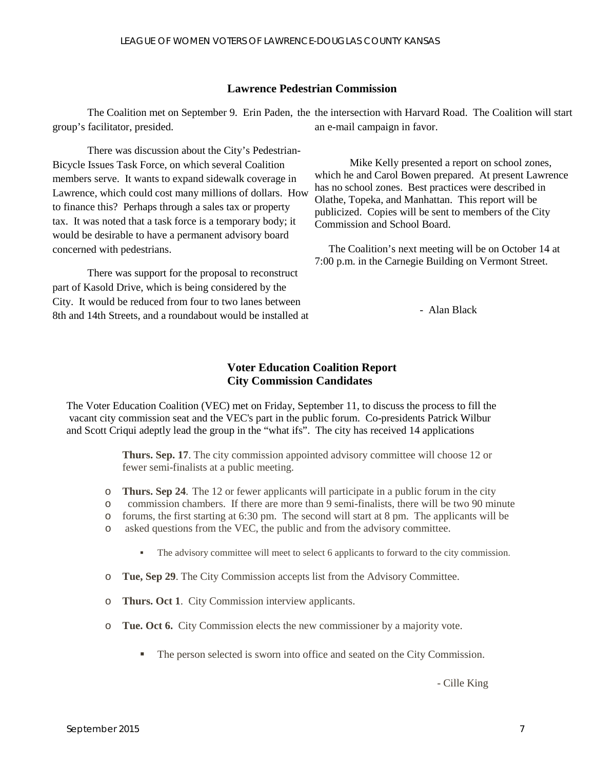#### **Lawrence Pedestrian Commission**

The Coalition met on September 9. Erin Paden, the the intersection with Harvard Road. The Coalition will start group's facilitator, presided. an e-mail campaign in favor.

There was discussion about the City's Pedestrian-Bicycle Issues Task Force, on which several Coalition members serve. It wants to expand sidewalk coverage in Lawrence, which could cost many millions of dollars. How to finance this? Perhaps through a sales tax or property tax. It was noted that a task force is a temporary body; it would be desirable to have a permanent advisory board concerned with pedestrians.

There was support for the proposal to reconstruct part of Kasold Drive, which is being considered by the City. It would be reduced from four to two lanes between 8th and 14th Streets, and a roundabout would be installed at

Mike Kelly presented a report on school zones, which he and Carol Bowen prepared. At present Lawrence has no school zones. Best practices were described in Olathe, Topeka, and Manhattan. This report will be publicized. Copies will be sent to members of the City Commission and School Board.

The Coalition's next meeting will be on October 14 at 7:00 p.m. in the Carnegie Building on Vermont Street.

- Alan Black

#### **Voter Education Coalition Report City Commission Candidates**

The Voter Education Coalition (VEC) met on Friday, September 11, to discuss the process to fill the vacant city commission seat and the VEC's part in the public forum. Co-presidents Patrick Wilbur and Scott Criqui adeptly lead the group in the "what ifs". The city has received 14 applications

> **Thurs. Sep. 17**. The city commission appointed advisory committee will choose 12 or fewer semi-finalists at a public meeting.

- o **Thurs. Sep 24**. The 12 or fewer applicants will participate in a public forum in the city
- o commission chambers. If there are more than 9 semi-finalists, there will be two 90 minute
- o forums, the first starting at 6:30 pm. The second will start at 8 pm. The applicants will be
- o asked questions from the VEC, the public and from the advisory committee.
	- The advisory committee will meet to select 6 applicants to forward to the city commission.
- o **Tue, Sep 29**. The City Commission accepts list from the Advisory Committee.
- o **Thurs. Oct 1**. City Commission interview applicants.
- o **Tue. Oct 6.** City Commission elects the new commissioner by a majority vote.
	- The person selected is sworn into office and seated on the City Commission.

- Cille King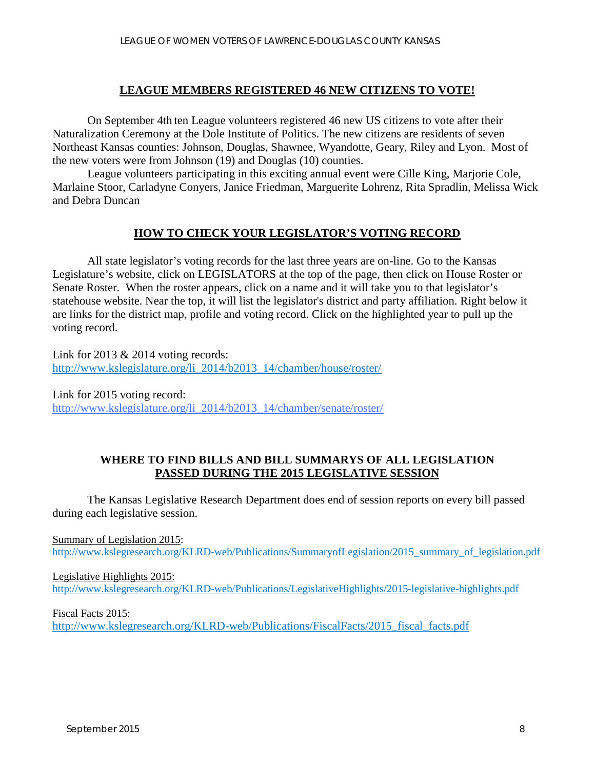#### **LEAGUE MEMBERS REGISTERED 46 NEW CITIZENS TO VOTE!**

On September 4th ten League volunteers registered 46 new US citizens to vote after their Naturalization Ceremony at the Dole Institute of Politics. The new citizens are residents of seven Northeast Kansas counties: Johnson, Douglas, Shawnee, Wyandotte, Geary, Riley and Lyon. Most of the new voters were from Johnson (19) and Douglas (10) counties.

League volunteers participating in this exciting annual event were Cille King, Marjorie Cole, Marlaine Stoor, Carladyne Conyers, Janice Friedman, Marguerite Lohrenz, Rita Spradlin, Melissa Wick and Debra Duncan

## **HOW TO CHECK YOUR LEGISLATOR'S VOTING RECORD**

All state legislator's voting records for the last three years are on-line. Go to the Kansas Legislature's website, click on LEGISLATORS at the top of the page, then click on House Roster or Senate Roster. When the roster appears, click on a name and it will take you to that legislator's statehouse website. Near the top, it will list the legislator's district and party affiliation. Right below it are links for the district map, profile and voting record. Click on the highlighted year to pull up the voting record.

Link for 2013 & 2014 voting records: [http://www.kslegislature.org/li\\_2014/b2013\\_14/chamber/house/roster/](http://www.kslegislature.org/li_2014/b2013_14/chamber/house/roster/)

Link for 2015 voting record: [http://www.kslegislature.org/li\\_2014/b2013\\_14/chamber/senate/roster/](http://www.kslegislature.org/li_2014/b2013_14/chamber/senate/roster/)

#### **WHERE TO FIND BILLS AND BILL SUMMARYS OF ALL LEGISLATION PASSED DURING THE 2015 LEGISLATIVE SESSION**

The Kansas Legislative Research Department does end of session reports on every bill passed during each legislative session.

Summary of Legislation 2015: [http://www.kslegresearch.org/KLRD-web/Publications/SummaryofLegislation/2015\\_summary\\_of\\_legislation.pdf](http://www.kslegresearch.org/KLRD-web/Publications/SummaryofLegislation/2015_summary_of_legislation.pdf)

Legislative Highlights 2015: <http://www.kslegresearch.org/KLRD-web/Publications/LegislativeHighlights/2015-legislative-highlights.pdf>

Fiscal Facts 2015: http://www.kslegresearch.org/KLRD-web/Publications/FiscalFacts/2015 fiscal facts.pdf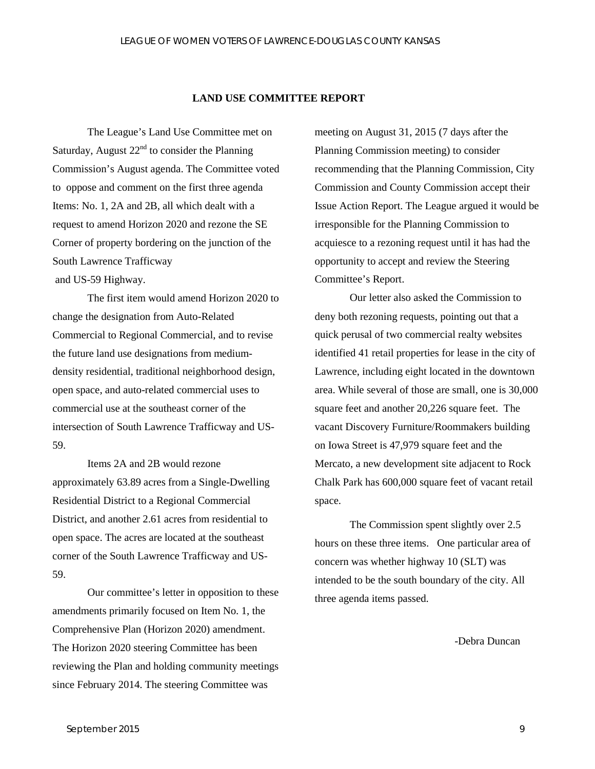#### **LAND USE COMMITTEE REPORT**

The League's Land Use Committee met on Saturday, August  $22<sup>nd</sup>$  to consider the Planning Commission's August agenda. The Committee voted to oppose and comment on the first three agenda Items: No. 1, 2A and 2B, all which dealt with a request to amend Horizon 2020 and rezone the SE Corner of property bordering on the junction of the South Lawrence Trafficway and US-59 Highway.

The first item would amend Horizon 2020 to change the designation from Auto-Related Commercial to Regional Commercial, and to revise the future land use designations from mediumdensity residential, traditional neighborhood design, open space, and auto-related commercial uses to commercial use at the southeast corner of the intersection of South Lawrence Trafficway and US-59.

Items 2A and 2B would rezone approximately 63.89 acres from a Single-Dwelling Residential District to a Regional Commercial District, and another 2.61 acres from residential to open space. The acres are located at the southeast corner of the South Lawrence Trafficway and US-59.

Our committee's letter in opposition to these amendments primarily focused on Item No. 1, the Comprehensive Plan (Horizon 2020) amendment. The Horizon 2020 steering Committee has been reviewing the Plan and holding community meetings since February 2014. The steering Committee was

meeting on August 31, 2015 (7 days after the Planning Commission meeting) to consider recommending that the Planning Commission, City Commission and County Commission accept their Issue Action Report. The League argued it would be irresponsible for the Planning Commission to acquiesce to a rezoning request until it has had the opportunity to accept and review the Steering Committee's Report.

Our letter also asked the Commission to deny both rezoning requests, pointing out that a quick perusal of two commercial realty websites identified 41 retail properties for lease in the city of Lawrence, including eight located in the downtown area. While several of those are small, one is 30,000 square feet and another 20,226 square feet. The vacant Discovery Furniture/Roommakers building on Iowa Street is 47,979 square feet and the Mercato, a new development site adjacent to Rock Chalk Park has 600,000 square feet of vacant retail space.

The Commission spent slightly over 2.5 hours on these three items. One particular area of concern was whether highway 10 (SLT) was intended to be the south boundary of the city. All three agenda items passed.

-Debra Duncan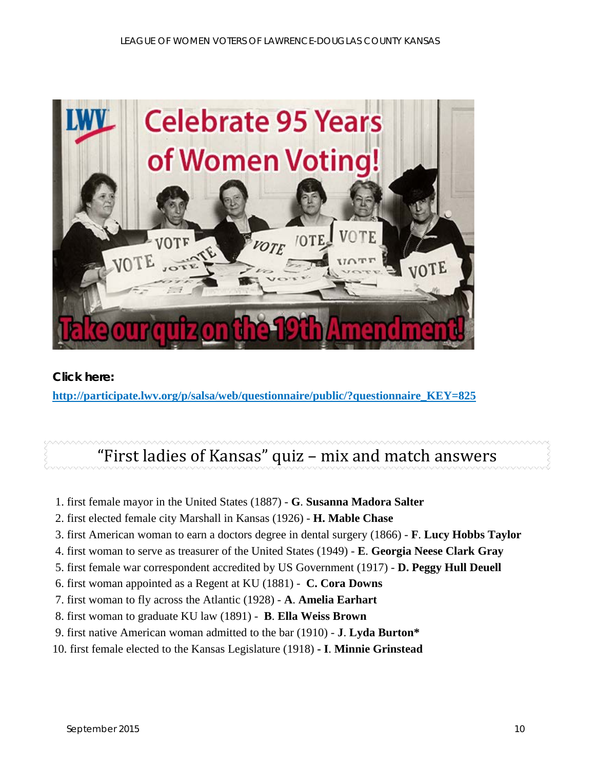

#### **Click here:**

**[http://participate.lwv.org/p/salsa/web/questionnaire/public/?questionnaire\\_KEY=825](http://participate.lwv.org/p/salsa/web/questionnaire/public/?questionnaire_KEY=825)**

# "First ladies of Kansas" quiz – mix and match answers

- 1. first female mayor in the United States (1887) **G**. **Susanna Madora Salter**
- 2. first elected female city Marshall in Kansas (1926) **H. Mable Chase**
- 3. first American woman to earn a doctors degree in dental surgery (1866) **F**. **Lucy Hobbs Taylor**
- 4. first woman to serve as treasurer of the United States (1949) **E**. **Georgia Neese Clark Gray**
- 5. first female war correspondent accredited by US Government (1917) **D. Peggy Hull Deuell**
- 6. first woman appointed as a Regent at KU (1881) **C. Cora Downs**
- 7. first woman to fly across the Atlantic (1928) **A**. **Amelia Earhart**
- 8. first woman to graduate KU law (1891) **B**. **Ella Weiss Brown**
- 9. first native American woman admitted to the bar (1910) **J**. **Lyda Burton\***
- 10. first female elected to the Kansas Legislature (1918) **- I**. **Minnie Grinstead**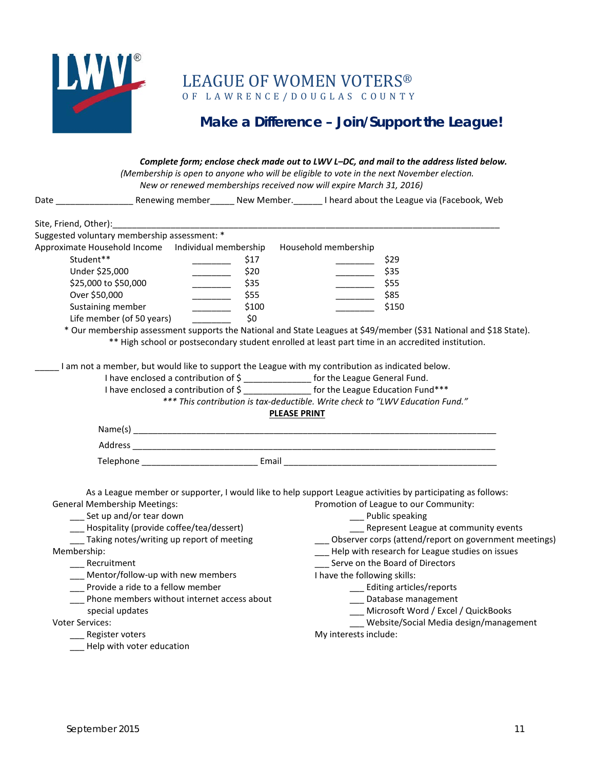

LEAGUE OF WOMEN VOTERS® O F LAWRENCE/DOUGLAS COUNTY

# **Make a Difference – Join/Support the League!**

|                                                    |                                                                                                                                                                                                                                                                                                                                                                                                                                | Complete form; enclose check made out to LWV L-DC, and mail to the address listed below.<br>(Membership is open to anyone who will be eligible to vote in the next November election.<br>New or renewed memberships received now will expire March 31, 2016) |
|----------------------------------------------------|--------------------------------------------------------------------------------------------------------------------------------------------------------------------------------------------------------------------------------------------------------------------------------------------------------------------------------------------------------------------------------------------------------------------------------|--------------------------------------------------------------------------------------------------------------------------------------------------------------------------------------------------------------------------------------------------------------|
|                                                    |                                                                                                                                                                                                                                                                                                                                                                                                                                |                                                                                                                                                                                                                                                              |
|                                                    |                                                                                                                                                                                                                                                                                                                                                                                                                                |                                                                                                                                                                                                                                                              |
| Suggested voluntary membership assessment: *       |                                                                                                                                                                                                                                                                                                                                                                                                                                |                                                                                                                                                                                                                                                              |
| Approximate Household Income Individual membership |                                                                                                                                                                                                                                                                                                                                                                                                                                | Household membership                                                                                                                                                                                                                                         |
| Student**                                          | \$17                                                                                                                                                                                                                                                                                                                                                                                                                           | \$29                                                                                                                                                                                                                                                         |
| Under \$25,000                                     | \$20<br>$\overline{\phantom{a}}$                                                                                                                                                                                                                                                                                                                                                                                               | $\frac{1}{\sqrt{35}}$ \$35                                                                                                                                                                                                                                   |
| \$25,000 to \$50,000                               | \$35<br>_______                                                                                                                                                                                                                                                                                                                                                                                                                | $\frac{1}{\sqrt{2}}$ \$55                                                                                                                                                                                                                                    |
| Over \$50,000                                      | \$55<br>$\begin{tabular}{ccccc} \multicolumn{2}{c }{\textbf{1} & \textbf{2} & \textbf{3} & \textbf{4} & \textbf{5} & \textbf{5} & \textbf{6} & \textbf{6} & \textbf{7} & \textbf{8} & \textbf{8} & \textbf{9} & \textbf{10} & \textbf{10} & \textbf{10} & \textbf{10} & \textbf{10} & \textbf{10} & \textbf{10} & \textbf{10} & \textbf{10} & \textbf{10} & \textbf{10} & \textbf{10} & \textbf{10} & \textbf{10} & \textbf{1$ | \$85<br>$\overline{\phantom{a}}$                                                                                                                                                                                                                             |
| Sustaining member                                  | \$100<br>_______________                                                                                                                                                                                                                                                                                                                                                                                                       | \$150                                                                                                                                                                                                                                                        |
| Life member (of 50 years)                          | \$0                                                                                                                                                                                                                                                                                                                                                                                                                            |                                                                                                                                                                                                                                                              |
|                                                    |                                                                                                                                                                                                                                                                                                                                                                                                                                | * Our membership assessment supports the National and State Leagues at \$49/member (\$31 National and \$18 State).                                                                                                                                           |
|                                                    |                                                                                                                                                                                                                                                                                                                                                                                                                                | ** High school or postsecondary student enrolled at least part time in an accredited institution.                                                                                                                                                            |
|                                                    |                                                                                                                                                                                                                                                                                                                                                                                                                                | I am not a member, but would like to support the League with my contribution as indicated below.                                                                                                                                                             |
|                                                    |                                                                                                                                                                                                                                                                                                                                                                                                                                | I have enclosed a contribution of \$ ________________ for the League General Fund.                                                                                                                                                                           |
|                                                    |                                                                                                                                                                                                                                                                                                                                                                                                                                | I have enclosed a contribution of \$ ______________ for the League Education Fund***                                                                                                                                                                         |
|                                                    |                                                                                                                                                                                                                                                                                                                                                                                                                                | *** This contribution is tax-deductible. Write check to "LWV Education Fund."                                                                                                                                                                                |
|                                                    |                                                                                                                                                                                                                                                                                                                                                                                                                                | <b>PLEASE PRINT</b>                                                                                                                                                                                                                                          |
|                                                    |                                                                                                                                                                                                                                                                                                                                                                                                                                |                                                                                                                                                                                                                                                              |
|                                                    |                                                                                                                                                                                                                                                                                                                                                                                                                                |                                                                                                                                                                                                                                                              |
|                                                    |                                                                                                                                                                                                                                                                                                                                                                                                                                | Telephone <b>Email</b> Email                                                                                                                                                                                                                                 |
|                                                    |                                                                                                                                                                                                                                                                                                                                                                                                                                |                                                                                                                                                                                                                                                              |
|                                                    |                                                                                                                                                                                                                                                                                                                                                                                                                                | As a League member or supporter, I would like to help support League activities by participating as follows:                                                                                                                                                 |
| <b>General Membership Meetings:</b>                |                                                                                                                                                                                                                                                                                                                                                                                                                                | Promotion of League to our Community:                                                                                                                                                                                                                        |
| __ Set up and/or tear down                         |                                                                                                                                                                                                                                                                                                                                                                                                                                | __ Public speaking                                                                                                                                                                                                                                           |
| _Hospitality (provide coffee/tea/dessert)          |                                                                                                                                                                                                                                                                                                                                                                                                                                | Represent League at community events                                                                                                                                                                                                                         |
| Taking notes/writing up report of meeting          |                                                                                                                                                                                                                                                                                                                                                                                                                                | __ Observer corps (attend/report on government meetings)                                                                                                                                                                                                     |
| Membership:                                        |                                                                                                                                                                                                                                                                                                                                                                                                                                | - Help with research for League studies on issues                                                                                                                                                                                                            |
| __ Recruitment                                     |                                                                                                                                                                                                                                                                                                                                                                                                                                | Serve on the Board of Directors                                                                                                                                                                                                                              |
| Mentor/follow-up with new members                  |                                                                                                                                                                                                                                                                                                                                                                                                                                | I have the following skills:                                                                                                                                                                                                                                 |
| Provide a ride to a fellow member                  |                                                                                                                                                                                                                                                                                                                                                                                                                                | __ Editing articles/reports                                                                                                                                                                                                                                  |
| __ Phone members without internet access about     |                                                                                                                                                                                                                                                                                                                                                                                                                                | __ Database management                                                                                                                                                                                                                                       |
| special updates                                    |                                                                                                                                                                                                                                                                                                                                                                                                                                | __ Microsoft Word / Excel / QuickBooks                                                                                                                                                                                                                       |
| Voter Services:                                    |                                                                                                                                                                                                                                                                                                                                                                                                                                | Website/Social Media design/management                                                                                                                                                                                                                       |
| ___ Register voters                                |                                                                                                                                                                                                                                                                                                                                                                                                                                | My interests include:                                                                                                                                                                                                                                        |
| - Help with voter education                        |                                                                                                                                                                                                                                                                                                                                                                                                                                |                                                                                                                                                                                                                                                              |